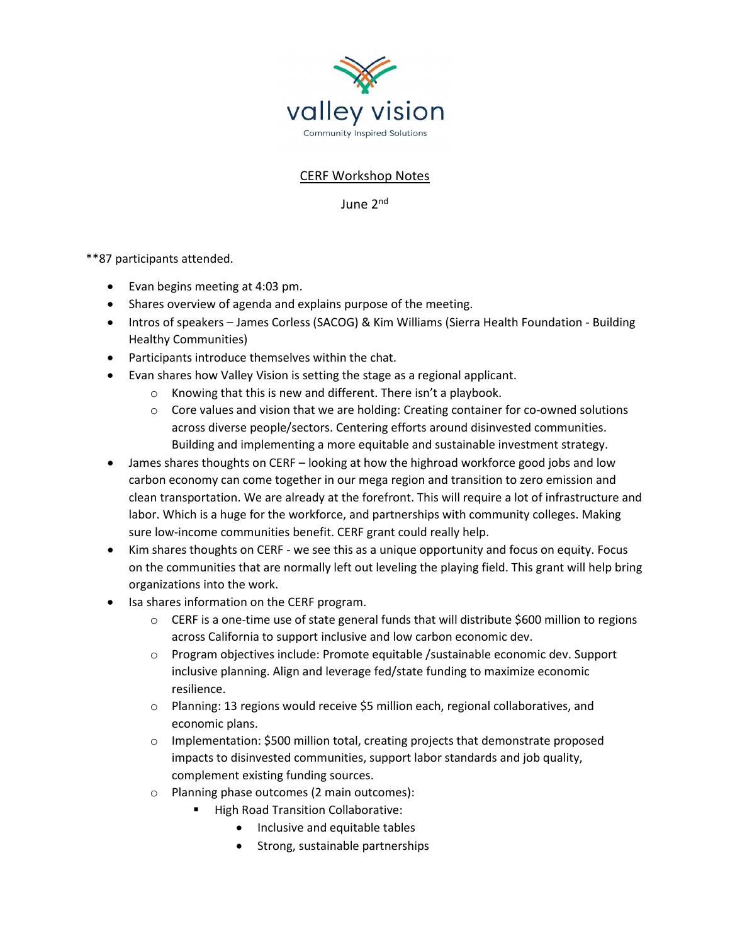

## CERF Workshop Notes

June 2nd

\*\*87 participants attended.

- Evan begins meeting at 4:03 pm.
- Shares overview of agenda and explains purpose of the meeting.
- Intros of speakers James Corless (SACOG) & Kim Williams (Sierra Health Foundation Building Healthy Communities)
- Participants introduce themselves within the chat.
- Evan shares how Valley Vision is setting the stage as a regional applicant.
	- o Knowing that this is new and different. There isn't a playbook.
	- $\circ$  Core values and vision that we are holding: Creating container for co-owned solutions across diverse people/sectors. Centering efforts around disinvested communities. Building and implementing a more equitable and sustainable investment strategy.
- James shares thoughts on CERF looking at how the highroad workforce good jobs and low carbon economy can come together in our mega region and transition to zero emission and clean transportation. We are already at the forefront. This will require a lot of infrastructure and labor. Which is a huge for the workforce, and partnerships with community colleges. Making sure low-income communities benefit. CERF grant could really help.
- Kim shares thoughts on CERF we see this as a unique opportunity and focus on equity. Focus on the communities that are normally left out leveling the playing field. This grant will help bring organizations into the work.
- Isa shares information on the CERF program.
	- $\circ$  CERF is a one-time use of state general funds that will distribute \$600 million to regions across California to support inclusive and low carbon economic dev.
	- $\circ$  Program objectives include: Promote equitable /sustainable economic dev. Support inclusive planning. Align and leverage fed/state funding to maximize economic resilience.
	- o Planning: 13 regions would receive \$5 million each, regional collaboratives, and economic plans.
	- $\circ$  Implementation: \$500 million total, creating projects that demonstrate proposed impacts to disinvested communities, support labor standards and job quality, complement existing funding sources.
	- o Planning phase outcomes (2 main outcomes):
		- **High Road Transition Collaborative:** 
			- Inclusive and equitable tables
			- Strong, sustainable partnerships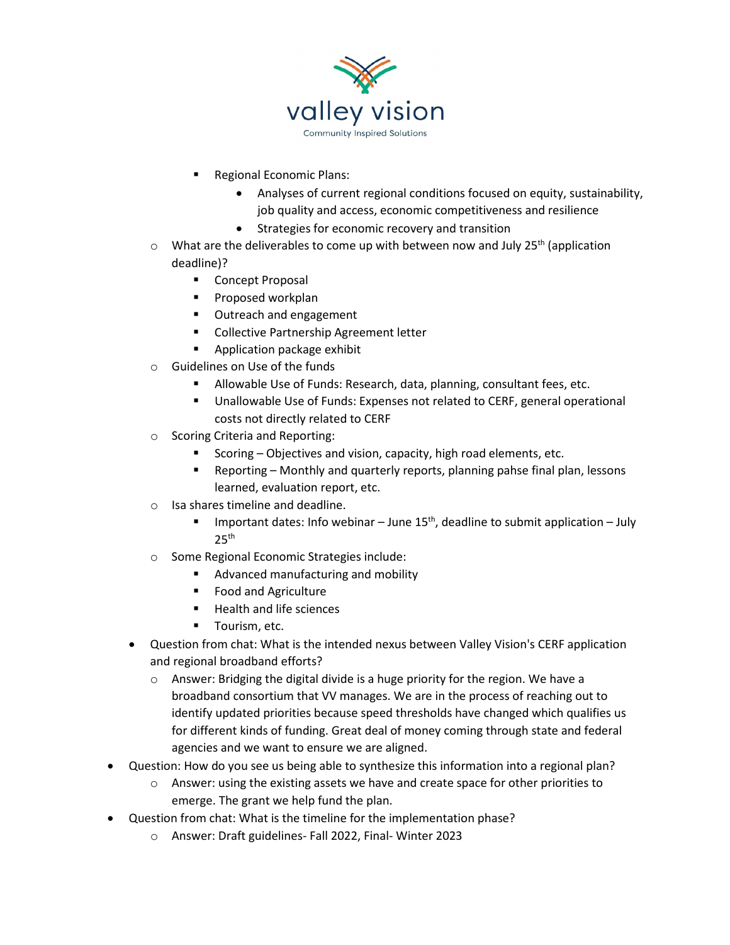

- Regional Economic Plans:
	- Analyses of current regional conditions focused on equity, sustainability, job quality and access, economic competitiveness and resilience
	- Strategies for economic recovery and transition
- $\circ$  What are the deliverables to come up with between now and July 25<sup>th</sup> (application deadline)?
	- **E** Concept Proposal
	- **Proposed workplan**
	- Outreach and engagement
	- **EXECOLLECTIVE Partnership Agreement letter**
	- **Application package exhibit**
- o Guidelines on Use of the funds
	- Allowable Use of Funds: Research, data, planning, consultant fees, etc.
	- Unallowable Use of Funds: Expenses not related to CERF, general operational costs not directly related to CERF
- o Scoring Criteria and Reporting:
	- Scoring Objectives and vision, capacity, high road elements, etc.
	- Reporting Monthly and quarterly reports, planning pahse final plan, lessons learned, evaluation report, etc.
- o Isa shares timeline and deadline.
	- **IMPORTANTE:** Info webinar June 15<sup>th</sup>, deadline to submit application July  $25<sup>th</sup>$
- o Some Regional Economic Strategies include:
	- Advanced manufacturing and mobility
	- **Food and Agriculture**
	- Health and life sciences
	- **Tourism, etc.**
- Question from chat: What is the intended nexus between Valley Vision's CERF application and regional broadband efforts?
	- o Answer: Bridging the digital divide is a huge priority for the region. We have a broadband consortium that VV manages. We are in the process of reaching out to identify updated priorities because speed thresholds have changed which qualifies us for different kinds of funding. Great deal of money coming through state and federal agencies and we want to ensure we are aligned.
- Question: How do you see us being able to synthesize this information into a regional plan?
	- $\circ$  Answer: using the existing assets we have and create space for other priorities to emerge. The grant we help fund the plan.
- Question from chat: What is the timeline for the implementation phase?
	- o Answer: Draft guidelines- Fall 2022, Final- Winter 2023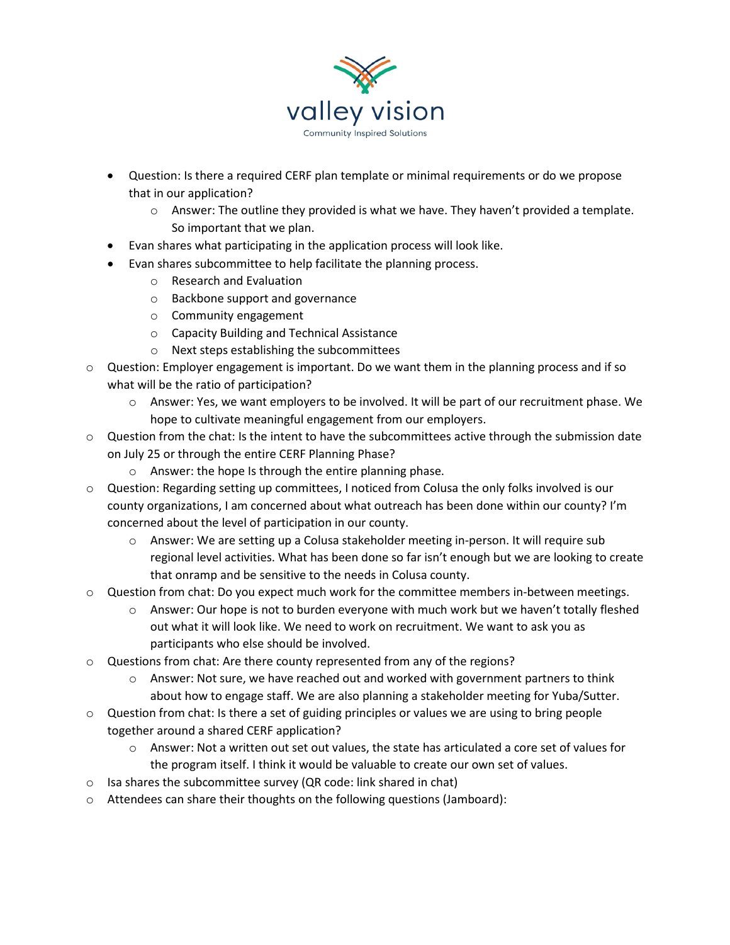

- Question: Is there a required CERF plan template or minimal requirements or do we propose that in our application?
	- $\circ$  Answer: The outline they provided is what we have. They haven't provided a template. So important that we plan.
- Evan shares what participating in the application process will look like.
- Evan shares subcommittee to help facilitate the planning process.
	- o Research and Evaluation
	- o Backbone support and governance
	- o Community engagement
	- o Capacity Building and Technical Assistance
	- o Next steps establishing the subcommittees
- $\circ$  Question: Employer engagement is important. Do we want them in the planning process and if so what will be the ratio of participation?
	- $\circ$  Answer: Yes, we want employers to be involved. It will be part of our recruitment phase. We hope to cultivate meaningful engagement from our employers.
- $\circ$  Question from the chat: Is the intent to have the subcommittees active through the submission date on July 25 or through the entire CERF Planning Phase?
	- o Answer: the hope Is through the entire planning phase.
- o Question: Regarding setting up committees, I noticed from Colusa the only folks involved is our county organizations, I am concerned about what outreach has been done within our county? I'm concerned about the level of participation in our county.
	- o Answer: We are setting up a Colusa stakeholder meeting in-person. It will require sub regional level activities. What has been done so far isn't enough but we are looking to create that onramp and be sensitive to the needs in Colusa county.
- $\circ$  Question from chat: Do you expect much work for the committee members in-between meetings.
	- o Answer: Our hope is not to burden everyone with much work but we haven't totally fleshed out what it will look like. We need to work on recruitment. We want to ask you as participants who else should be involved.
- o Questions from chat: Are there county represented from any of the regions?
	- $\circ$  Answer: Not sure, we have reached out and worked with government partners to think about how to engage staff. We are also planning a stakeholder meeting for Yuba/Sutter.
- $\circ$  Question from chat: Is there a set of guiding principles or values we are using to bring people together around a shared CERF application?
	- $\circ$  Answer: Not a written out set out values, the state has articulated a core set of values for the program itself. I think it would be valuable to create our own set of values.
- o Isa shares the subcommittee survey (QR code: link shared in chat)
- o Attendees can share their thoughts on the following questions (Jamboard):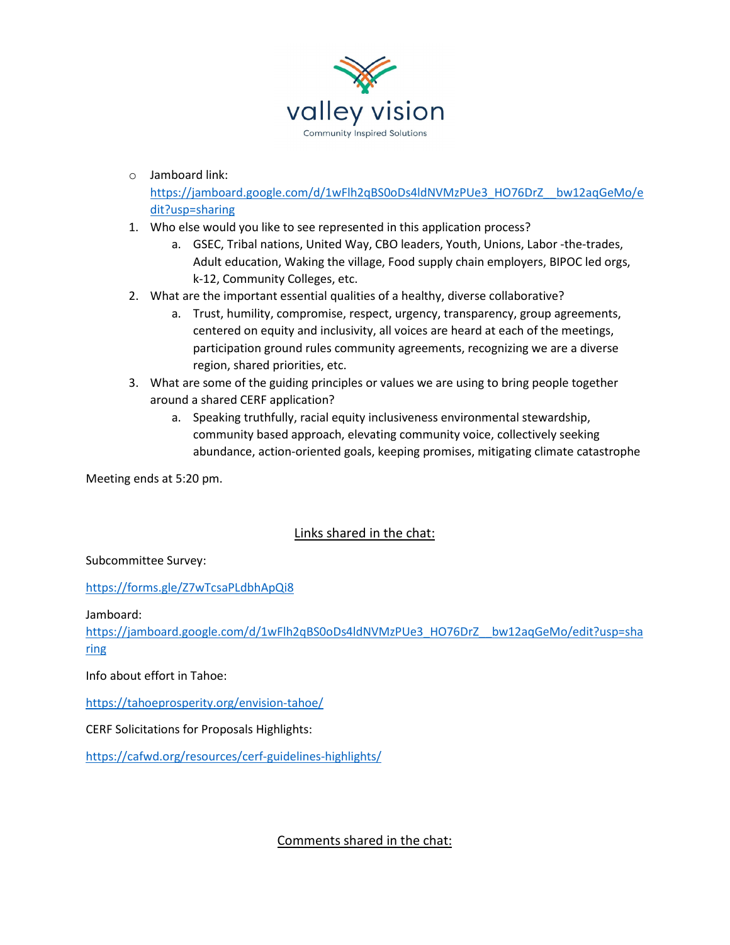

o Jamboard link:

[https://jamboard.google.com/d/1wFlh2qBS0oDs4ldNVMzPUe3\\_HO76DrZ\\_\\_bw12aqGeMo/e](https://jamboard.google.com/d/1wFlh2qBS0oDs4ldNVMzPUe3_HO76DrZ__bw12aqGeMo/edit?usp=sharing) [dit?usp=sharing](https://jamboard.google.com/d/1wFlh2qBS0oDs4ldNVMzPUe3_HO76DrZ__bw12aqGeMo/edit?usp=sharing)

- 1. Who else would you like to see represented in this application process?
	- a. GSEC, Tribal nations, United Way, CBO leaders, Youth, Unions, Labor -the-trades, Adult education, Waking the village, Food supply chain employers, BIPOC led orgs, k-12, Community Colleges, etc.
- 2. What are the important essential qualities of a healthy, diverse collaborative?
	- a. Trust, humility, compromise, respect, urgency, transparency, group agreements, centered on equity and inclusivity, all voices are heard at each of the meetings, participation ground rules community agreements, recognizing we are a diverse region, shared priorities, etc.
- 3. What are some of the guiding principles or values we are using to bring people together around a shared CERF application?
	- a. Speaking truthfully, racial equity inclusiveness environmental stewardship, community based approach, elevating community voice, collectively seeking abundance, action-oriented goals, keeping promises, mitigating climate catastrophe

Meeting ends at 5:20 pm.

## Links shared in the chat:

Subcommittee Survey:

<https://forms.gle/Z7wTcsaPLdbhApQi8>

Jamboard:

[https://jamboard.google.com/d/1wFlh2qBS0oDs4ldNVMzPUe3\\_HO76DrZ\\_\\_bw12aqGeMo/edit?usp=sha](https://jamboard.google.com/d/1wFlh2qBS0oDs4ldNVMzPUe3_HO76DrZ__bw12aqGeMo/edit?usp=sharing) [ring](https://jamboard.google.com/d/1wFlh2qBS0oDs4ldNVMzPUe3_HO76DrZ__bw12aqGeMo/edit?usp=sharing)

Info about effort in Tahoe:

<https://tahoeprosperity.org/envision-tahoe/>

CERF Solicitations for Proposals Highlights:

<https://cafwd.org/resources/cerf-guidelines-highlights/>

Comments shared in the chat: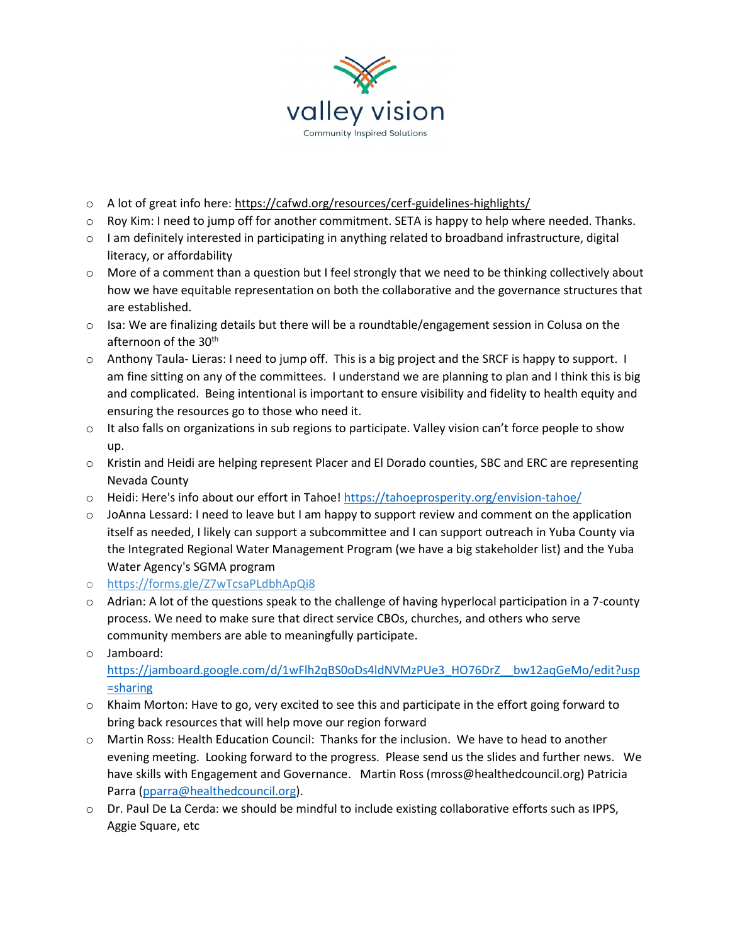

- o A lot of great info here: [https://cafwd.org/resources/cerf-guidelines-highlights/](https://us02st1.zoom.us/web_client/3jktxx3/html/externalLinkPage.html?ref=https://cafwd.org/resources/cerf-guidelines-highlights/)
- o Roy Kim: I need to jump off for another commitment. SETA is happy to help where needed. Thanks.
- o I am definitely interested in participating in anything related to broadband infrastructure, digital literacy, or affordability
- $\circ$  More of a comment than a question but I feel strongly that we need to be thinking collectively about how we have equitable representation on both the collaborative and the governance structures that are established.
- $\circ$  Isa: We are finalizing details but there will be a roundtable/engagement session in Colusa on the afternoon of the 30<sup>th</sup>
- o Anthony Taula- Lieras: I need to jump off. This is a big project and the SRCF is happy to support. I am fine sitting on any of the committees. I understand we are planning to plan and I think this is big and complicated. Being intentional is important to ensure visibility and fidelity to health equity and ensuring the resources go to those who need it.
- $\circ$  It also falls on organizations in sub regions to participate. Valley vision can't force people to show up.
- o Kristin and Heidi are helping represent Placer and El Dorado counties, SBC and ERC are representing Nevada County
- o Heidi: Here's info about our effort in Tahoe[! https://tahoeprosperity.org/envision-tahoe/](https://tahoeprosperity.org/envision-tahoe/)
- $\circ$  JoAnna Lessard: I need to leave but I am happy to support review and comment on the application itself as needed, I likely can support a subcommittee and I can support outreach in Yuba County via the Integrated Regional Water Management Program (we have a big stakeholder list) and the Yuba Water Agency's SGMA program
- o [https://forms.gle/Z7wTcsaPLdbhApQi8](https://us02st1.zoom.us/web_client/3jktxx3/html/externalLinkPage.html?ref=https://forms.gle/Z7wTcsaPLdbhApQi8)
- o Adrian: A lot of the questions speak to the challenge of having hyperlocal participation in a 7-county process. We need to make sure that direct service CBOs, churches, and others who serve community members are able to meaningfully participate.
- o Jamboard: [https://jamboard.google.com/d/1wFlh2qBS0oDs4ldNVMzPUe3\\_HO76DrZ\\_\\_bw12aqGeMo/edit?usp](https://jamboard.google.com/d/1wFlh2qBS0oDs4ldNVMzPUe3_HO76DrZ__bw12aqGeMo/edit?usp=sharing) [=sharing](https://jamboard.google.com/d/1wFlh2qBS0oDs4ldNVMzPUe3_HO76DrZ__bw12aqGeMo/edit?usp=sharing)
- $\circ$  Khaim Morton: Have to go, very excited to see this and participate in the effort going forward to bring back resources that will help move our region forward
- o Martin Ross: Health Education Council: Thanks for the inclusion. We have to head to another evening meeting. Looking forward to the progress. Please send us the slides and further news. We have skills with Engagement and Governance. Martin Ross (mross@healthedcouncil.org) Patricia Parra [\(pparra@healthedcouncil.org\)](mailto:pparra@healthedcouncil.org).
- o Dr. Paul De La Cerda: we should be mindful to include existing collaborative efforts such as IPPS, Aggie Square, etc